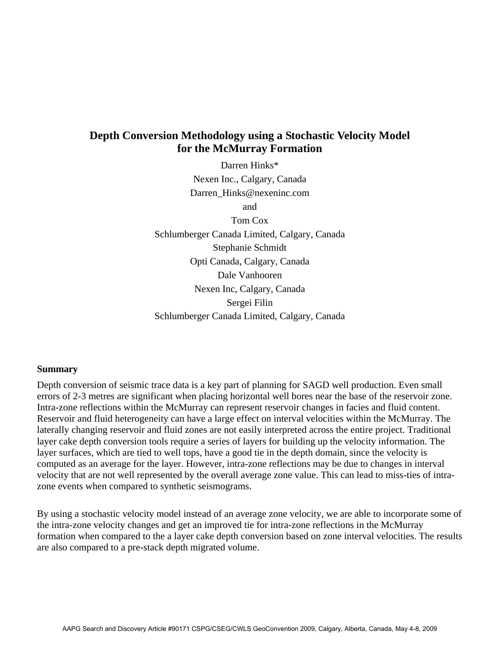# **Depth Conversion Methodology using a Stochastic Velocity Model for the McMurray Formation**

Darren Hinks\* Nexen Inc., Calgary, Canada Darren\_Hinks@nexeninc.com

and

Tom Cox Schlumberger Canada Limited, Calgary, Canada Stephanie Schmidt Opti Canada, Calgary, Canada Dale Vanhooren Nexen Inc, Calgary, Canada Sergei Filin Schlumberger Canada Limited, Calgary, Canada

#### **Summary**

Depth conversion of seismic trace data is a key part of planning for SAGD well production. Even small errors of 2-3 metres are significant when placing horizontal well bores near the base of the reservoir zone. Intra-zone reflections within the McMurray can represent reservoir changes in facies and fluid content. Reservoir and fluid heterogeneity can have a large effect on interval velocities within the McMurray. The laterally changing reservoir and fluid zones are not easily interpreted across the entire project. Traditional layer cake depth conversion tools require a series of layers for building up the velocity information. The layer surfaces, which are tied to well tops, have a good tie in the depth domain, since the velocity is computed as an average for the layer. However, intra-zone reflections may be due to changes in interval velocity that are not well represented by the overall average zone value. This can lead to miss-ties of intrazone events when compared to synthetic seismograms.

By using a stochastic velocity model instead of an average zone velocity, we are able to incorporate some of the intra-zone velocity changes and get an improved tie for intra-zone reflections in the McMurray formation when compared to the a layer cake depth conversion based on zone interval velocities. The results are also compared to a pre-stack depth migrated volume.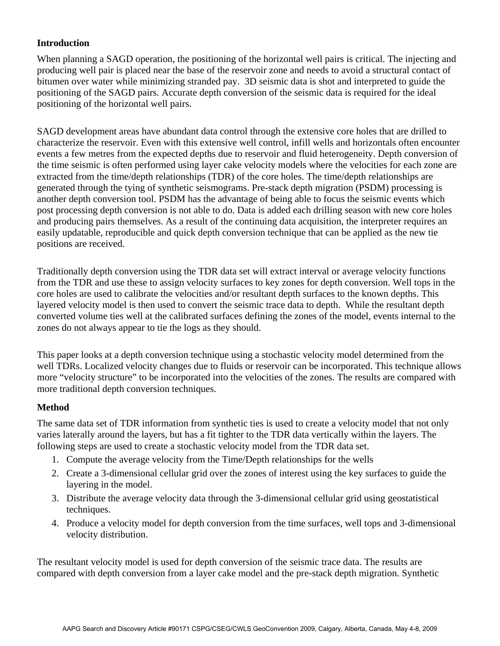## **Introduction**

When planning a SAGD operation, the positioning of the horizontal well pairs is critical. The injecting and producing well pair is placed near the base of the reservoir zone and needs to avoid a structural contact of bitumen over water while minimizing stranded pay. 3D seismic data is shot and interpreted to guide the positioning of the SAGD pairs. Accurate depth conversion of the seismic data is required for the ideal positioning of the horizontal well pairs.

SAGD development areas have abundant data control through the extensive core holes that are drilled to characterize the reservoir. Even with this extensive well control, infill wells and horizontals often encounter events a few metres from the expected depths due to reservoir and fluid heterogeneity. Depth conversion of the time seismic is often performed using layer cake velocity models where the velocities for each zone are extracted from the time/depth relationships (TDR) of the core holes. The time/depth relationships are generated through the tying of synthetic seismograms. Pre-stack depth migration (PSDM) processing is another depth conversion tool. PSDM has the advantage of being able to focus the seismic events which post processing depth conversion is not able to do. Data is added each drilling season with new core holes and producing pairs themselves. As a result of the continuing data acquisition, the interpreter requires an easily updatable, reproducible and quick depth conversion technique that can be applied as the new tie positions are received.

Traditionally depth conversion using the TDR data set will extract interval or average velocity functions from the TDR and use these to assign velocity surfaces to key zones for depth conversion. Well tops in the core holes are used to calibrate the velocities and/or resultant depth surfaces to the known depths. This layered velocity model is then used to convert the seismic trace data to depth. While the resultant depth converted volume ties well at the calibrated surfaces defining the zones of the model, events internal to the zones do not always appear to tie the logs as they should.

This paper looks at a depth conversion technique using a stochastic velocity model determined from the well TDRs. Localized velocity changes due to fluids or reservoir can be incorporated. This technique allows more "velocity structure" to be incorporated into the velocities of the zones. The results are compared with more traditional depth conversion techniques.

## **Method**

The same data set of TDR information from synthetic ties is used to create a velocity model that not only varies laterally around the layers, but has a fit tighter to the TDR data vertically within the layers. The following steps are used to create a stochastic velocity model from the TDR data set.

- 1. Compute the average velocity from the Time/Depth relationships for the wells
- 2. Create a 3-dimensional cellular grid over the zones of interest using the key surfaces to guide the layering in the model.
- 3. Distribute the average velocity data through the 3-dimensional cellular grid using geostatistical techniques.
- 4. Produce a velocity model for depth conversion from the time surfaces, well tops and 3-dimensional velocity distribution.

The resultant velocity model is used for depth conversion of the seismic trace data. The results are compared with depth conversion from a layer cake model and the pre-stack depth migration. Synthetic